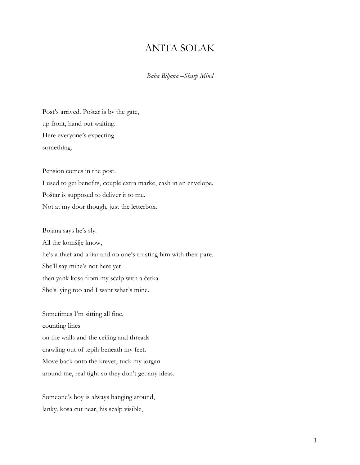## ANITA SOLAK

*Baba Biljana –Sharp Mind*

Post's arrived. Poštar is by the gate, up front, hand out waiting. Here everyone's expecting something.

Pension comes in the post. I used to get benefits, couple extra marke, cash in an envelope. Poštar is supposed to deliver it to me. Not at my door though, just the letterbox.

Bojana says he's sly. All the komšije know, he's a thief and a liar and no one's trusting him with their pare. She'll say mine's not here yet then yank kosa from my scalp with a četka. She's lying too and I want what's mine.

Sometimes I'm sitting all fine, counting lines on the walls and the ceiling and threads crawling out of tepih beneath my feet. Move back onto the krevet, tuck my jorgan around me, real tight so they don't get any ideas.

Someone's boy is always hanging around, lanky, kosa cut near, his scalp visible,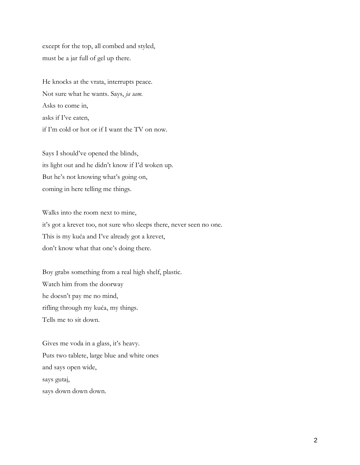except for the top, all combed and styled, must be a jar full of gel up there.

He knocks at the vrata, interrupts peace. Not sure what he wants. Says, *ja sam.* Asks to come in, asks if I've eaten, if I'm cold or hot or if I want the TV on now.

Says I should've opened the blinds, its light out and he didn't know if I'd woken up. But he's not knowing what's going on, coming in here telling me things.

Walks into the room next to mine, it's got a krevet too, not sure who sleeps there, never seen no one. This is my kuća and I've already got a krevet, don't know what that one's doing there.

Boy grabs something from a real high shelf, plastic. Watch him from the doorway he doesn't pay me no mind, rifling through my kuća, my things. Tells me to sit down.

Gives me voda in a glass, it's heavy. Puts two tablete, large blue and white ones and says open wide, says gutaj, says down down down.